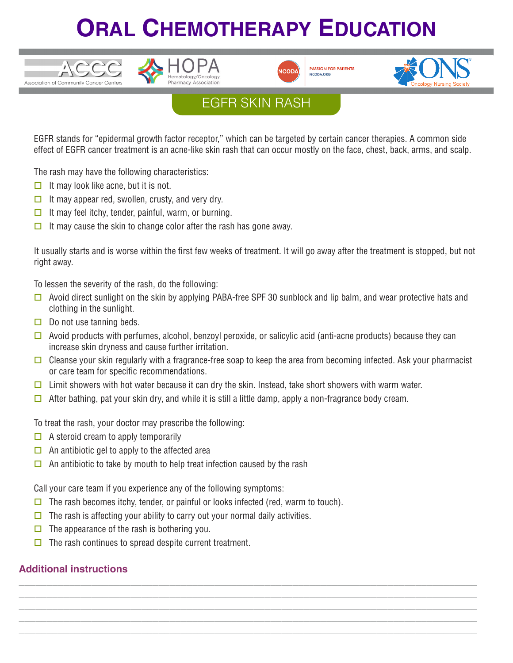# **ORAL CHEMOTHERAPY EDUCATION**





**PASSION FOR PATIENT!** NCODA, ORG



## EGFR SKIN RASH

EGFR stands for "epidermal growth factor receptor," which can be targeted by certain cancer therapies. A common side effect of EGFR cancer treatment is an acne-like skin rash that can occur mostly on the face, chest, back, arms, and scalp.

The rash may have the following characteristics:

 $\Box$  It may look like acne, but it is not.

 $TCCC$ 

Association of Community Cancer Centers

- $\Box$  It may appear red, swollen, crusty, and very dry.
- $\Box$  It may feel itchy, tender, painful, warm, or burning.
- $\Box$  It may cause the skin to change color after the rash has gone away.

It usually starts and is worse within the first few weeks of treatment. It will go away after the treatment is stopped, but not right away.

To lessen the severity of the rash, do the following:

- $\Box$  Avoid direct sunlight on the skin by applying PABA-free SPF 30 sunblock and lip balm, and wear protective hats and clothing in the sunlight.
- $\Box$  Do not use tanning beds.
- $\Box$  Avoid products with perfumes, alcohol, benzoyl peroxide, or salicylic acid (anti-acne products) because they can increase skin dryness and cause further irritation.
- $\Box$  Cleanse your skin regularly with a fragrance-free soap to keep the area from becoming infected. Ask your pharmacist or care team for specific recommendations.

**\_\_\_\_\_\_\_\_\_\_\_\_\_\_\_\_\_\_\_\_\_\_\_\_\_\_\_\_\_\_\_\_\_\_\_\_\_\_\_\_\_\_\_\_\_\_\_\_\_\_\_\_\_\_\_\_\_\_\_\_\_\_\_\_\_\_\_\_\_\_\_\_\_\_\_\_\_\_\_\_\_\_ \_\_\_\_\_\_\_\_\_\_\_\_\_\_\_\_\_\_\_\_\_\_\_\_\_\_\_\_\_\_\_\_\_\_\_\_\_\_\_\_\_\_\_\_\_\_\_\_\_\_\_\_\_\_\_\_\_\_\_\_\_\_\_\_\_\_\_\_\_\_\_\_\_\_\_\_\_\_\_\_\_\_ \_\_\_\_\_\_\_\_\_\_\_\_\_\_\_\_\_\_\_\_\_\_\_\_\_\_\_\_\_\_\_\_\_\_\_\_\_\_\_\_\_\_\_\_\_\_\_\_\_\_\_\_\_\_\_\_\_\_\_\_\_\_\_\_\_\_\_\_\_\_\_\_\_\_\_\_\_\_\_\_\_\_ \_\_\_\_\_\_\_\_\_\_\_\_\_\_\_\_\_\_\_\_\_\_\_\_\_\_\_\_\_\_\_\_\_\_\_\_\_\_\_\_\_\_\_\_\_\_\_\_\_\_\_\_\_\_\_\_\_\_\_\_\_\_\_\_\_\_\_\_\_\_\_\_\_\_\_\_\_\_\_\_\_\_ \_\_\_\_\_\_\_\_\_\_\_\_\_\_\_\_\_\_\_\_\_\_\_\_\_\_\_\_\_\_\_\_\_\_\_\_\_\_\_\_\_\_\_\_\_\_\_\_\_\_\_\_\_\_\_\_\_\_\_\_\_\_\_\_\_\_\_\_\_\_\_\_\_\_\_\_\_\_\_\_\_\_**

- $\Box$  Limit showers with hot water because it can dry the skin. Instead, take short showers with warm water.
- $\Box$  After bathing, pat your skin dry, and while it is still a little damp, apply a non-fragrance body cream.

To treat the rash, your doctor may prescribe the following:

- $\Box$  A steroid cream to apply temporarily
- $\Box$  An antibiotic gel to apply to the affected area
- $\Box$  An antibiotic to take by mouth to help treat infection caused by the rash

Call your care team if you experience any of the following symptoms:

- $\Box$  The rash becomes itchy, tender, or painful or looks infected (red, warm to touch).
- $\Box$  The rash is affecting your ability to carry out your normal daily activities.
- $\Box$  The appearance of the rash is bothering you.
- $\Box$  The rash continues to spread despite current treatment.

#### **Additional instructions**